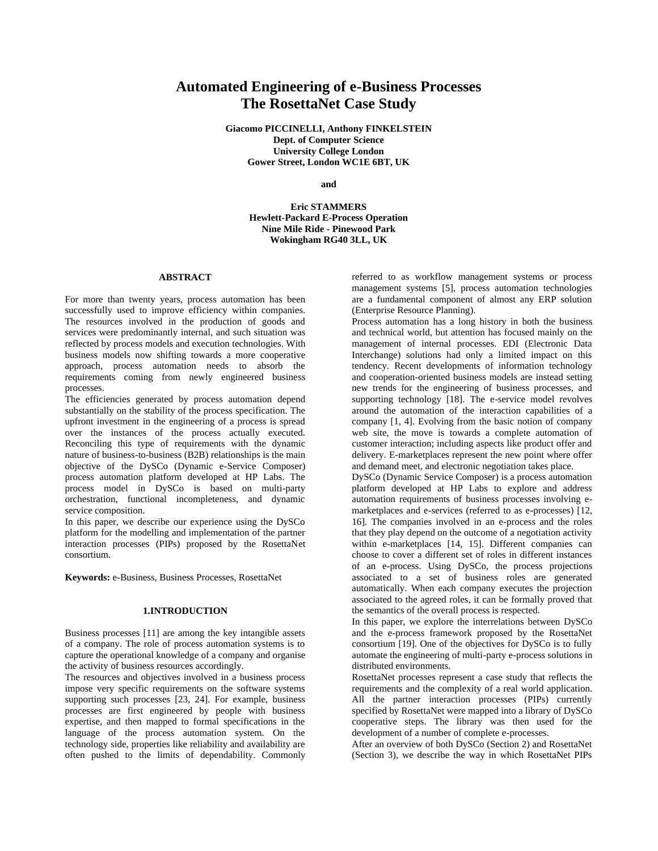# **Automated Engineering of e-Business Processes The RosettaNet Case Study**

**Giacomo PICCINELLI, Anthony FINKELSTEIN Dept. of Computer Science University College London Gower Street, London WC1E 6BT, UK**

**and**

**Eric STAMMERS Hewlett-Packard E-Process Operation Nine Mile Ride - Pinewood Park Wokingham RG40 3LL, UK**

## **ABSTRACT**

For more than twenty years, process automation has been successfully used to improve efficiency within companies. The resources involved in the production of goods and services were predominantly internal, and such situation was reflected by process models and execution technologies. With business models now shifting towards a more cooperative approach, process automation needs to absorb the requirements coming from newly engineered business processes.

The efficiencies generated by process automation depend substantially on the stability of the process specification. The upfront investment in the engineering of a process is spread over the instances of the process actually executed. Reconciling this type of requirements with the dynamic nature of business-to-business (B2B) relationships is the main objective of the DySCo (Dynamic e-Service Composer) process automation platform developed at HP Labs. The process model in DySCo is based on multi-party orchestration, functional incompleteness, and dynamic service composition.

In this paper, we describe our experience using the DySCo platform for the modelling and implementation of the partner interaction processes (PIPs) proposed by the RosettaNet consortium.

**Keywords:** e-Business, Business Processes, RosettaNet

#### **1.INTRODUCTION**

Business processes [11] are among the key intangible assets of a company. The role of process automation systems is to capture the operational knowledge of a company and organise the activity of business resources accordingly.

The resources and objectives involved in a business process impose very specific requirements on the software systems supporting such processes [23, 24]. For example, business processes are first engineered by people with business expertise, and then mapped to formal specifications in the language of the process automation system. On the technology side, properties like reliability and availability are often pushed to the limits of dependability. Commonly referred to as workflow management systems or process management systems [5], process automation technologies are a fundamental component of almost any ERP solution (Enterprise Resource Planning).

Process automation has a long history in both the business and technical world, but attention has focused mainly on the management of internal processes. EDI (Electronic Data Interchange) solutions had only a limited impact on this tendency. Recent developments of information technology and cooperation-oriented business models are instead setting new trends for the engineering of business processes, and supporting technology [18]. The e-service model revolves around the automation of the interaction capabilities of a company [1, 4]. Evolving from the basic notion of company web site, the move is towards a complete automation of customer interaction; including aspects like product offer and delivery. E-marketplaces represent the new point where offer and demand meet, and electronic negotiation takes place.

DySCo (Dynamic Service Composer) is a process automation platform developed at HP Labs to explore and address automation requirements of business processes involving emarketplaces and e-services (referred to as e-processes) [12, 16]. The companies involved in an e-process and the roles that they play depend on the outcome of a negotiation activity within e-marketplaces [14, 15]. Different companies can choose to cover a different set of roles in different instances of an e-process. Using DySCo, the process projections associated to a set of business roles are generated automatically. When each company executes the projection associated to the agreed roles, it can be formally proved that the semantics of the overall process is respected.

In this paper, we explore the interrelations between DySCo and the e-process framework proposed by the RosettaNet consortium [19]. One of the objectives for DySCo is to fully automate the engineering of multi-party e-process solutions in distributed environments.

RosettaNet processes represent a case study that reflects the requirements and the complexity of a real world application. All the partner interaction processes (PIPs) currently specified by RosettaNet were mapped into a library of DySCo cooperative steps. The library was then used for the development of a number of complete e-processes.

After an overview of both DySCo (Section 2) and RosettaNet (Section 3), we describe the way in which RosettaNet PIPs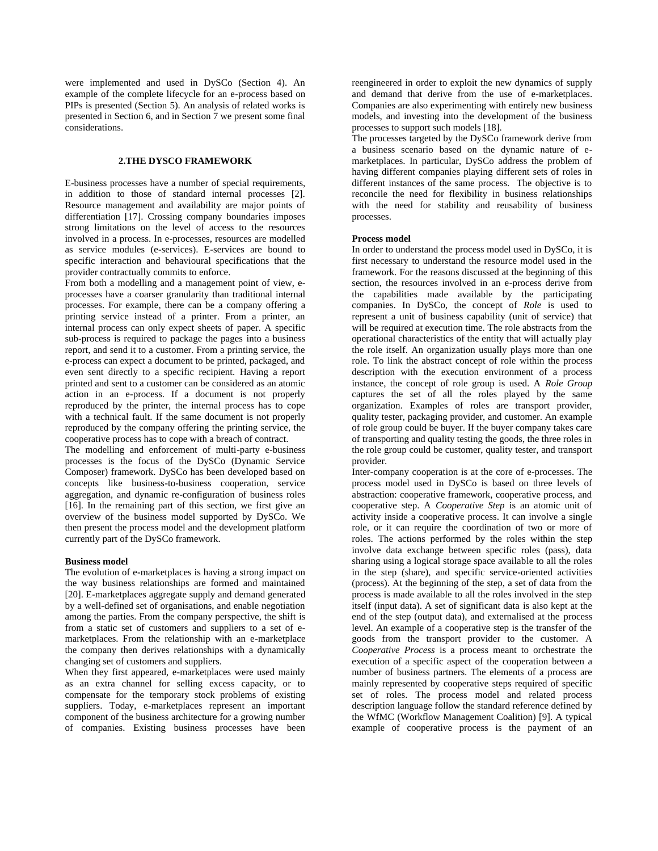were implemented and used in DySCo (Section 4). An example of the complete lifecycle for an e-process based on PIPs is presented (Section 5). An analysis of related works is presented in Section 6, and in Section 7 we present some final considerations.

## **2.THE DYSCO FRAMEWORK**

E-business processes have a number of special requirements, in addition to those of standard internal processes [2]. Resource management and availability are major points of differentiation [17]. Crossing company boundaries imposes strong limitations on the level of access to the resources involved in a process. In e-processes, resources are modelled as service modules (e-services). E-services are bound to specific interaction and behavioural specifications that the provider contractually commits to enforce.

From both a modelling and a management point of view, eprocesses have a coarser granularity than traditional internal processes. For example, there can be a company offering a printing service instead of a printer. From a printer, an internal process can only expect sheets of paper. A specific sub-process is required to package the pages into a business report, and send it to a customer. From a printing service, the e-process can expect a document to be printed, packaged, and even sent directly to a specific recipient. Having a report printed and sent to a customer can be considered as an atomic action in an e-process. If a document is not properly reproduced by the printer, the internal process has to cope with a technical fault. If the same document is not properly reproduced by the company offering the printing service, the cooperative process has to cope with a breach of contract.

The modelling and enforcement of multi-party e-business processes is the focus of the DySCo (Dynamic Service Composer) framework. DySCo has been developed based on concepts like business-to-business cooperation, service aggregation, and dynamic re-configuration of business roles [16]. In the remaining part of this section, we first give an overview of the business model supported by DySCo. We then present the process model and the development platform currently part of the DySCo framework.

#### **Business model**

The evolution of e-marketplaces is having a strong impact on the way business relationships are formed and maintained [20]. E-marketplaces aggregate supply and demand generated by a well-defined set of organisations, and enable negotiation among the parties. From the company perspective, the shift is from a static set of customers and suppliers to a set of emarketplaces. From the relationship with an e-marketplace the company then derives relationships with a dynamically changing set of customers and suppliers.

When they first appeared, e-marketplaces were used mainly as an extra channel for selling excess capacity, or to compensate for the temporary stock problems of existing suppliers. Today, e-marketplaces represent an important component of the business architecture for a growing number of companies. Existing business processes have been

reengineered in order to exploit the new dynamics of supply and demand that derive from the use of e-marketplaces. Companies are also experimenting with entirely new business models, and investing into the development of the business processes to support such models [18].

The processes targeted by the DySCo framework derive from a business scenario based on the dynamic nature of emarketplaces. In particular, DySCo address the problem of having different companies playing different sets of roles in different instances of the same process. The objective is to reconcile the need for flexibility in business relationships with the need for stability and reusability of business processes.

#### **Process model**

In order to understand the process model used in DySCo, it is first necessary to understand the resource model used in the framework. For the reasons discussed at the beginning of this section, the resources involved in an e-process derive from the capabilities made available by the participating companies. In DySCo, the concept of *Role* is used to represent a unit of business capability (unit of service) that will be required at execution time. The role abstracts from the operational characteristics of the entity that will actually play the role itself. An organization usually plays more than one role. To link the abstract concept of role within the process description with the execution environment of a process instance, the concept of role group is used. A *Role Group* captures the set of all the roles played by the same organization. Examples of roles are transport provider, quality tester, packaging provider, and customer. An example of role group could be buyer. If the buyer company takes care of transporting and quality testing the goods, the three roles in the role group could be customer, quality tester, and transport provider.

Inter-company cooperation is at the core of e-processes. The process model used in DySCo is based on three levels of abstraction: cooperative framework, cooperative process, and cooperative step. A *Cooperative Step* is an atomic unit of activity inside a cooperative process. It can involve a single role, or it can require the coordination of two or more of roles. The actions performed by the roles within the step involve data exchange between specific roles (pass), data sharing using a logical storage space available to all the roles in the step (share), and specific service-oriented activities (process). At the beginning of the step, a set of data from the process is made available to all the roles involved in the step itself (input data). A set of significant data is also kept at the end of the step (output data), and externalised at the process level. An example of a cooperative step is the transfer of the goods from the transport provider to the customer. A *Cooperative Process* is a process meant to orchestrate the execution of a specific aspect of the cooperation between a number of business partners. The elements of a process are mainly represented by cooperative steps required of specific set of roles. The process model and related process description language follow the standard reference defined by the WfMC (Workflow Management Coalition) [9]. A typical example of cooperative process is the payment of an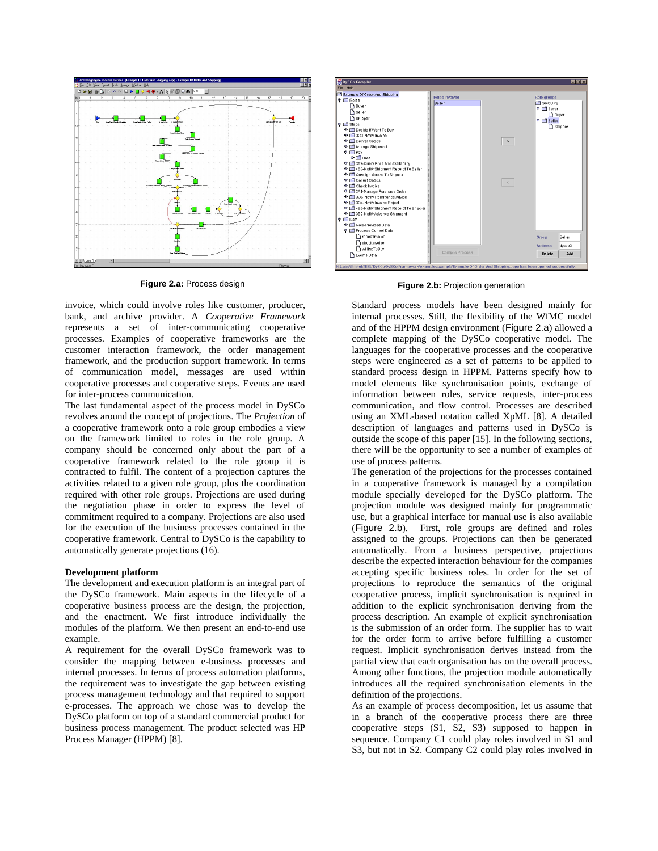

invoice, which could involve roles like customer, producer, bank, and archive provider. A *Cooperative Framework* represents a set of inter-communicating cooperative processes. Examples of cooperative frameworks are the customer interaction framework, the order management framework, and the production support framework. In terms of communication model, messages are used within cooperative processes and cooperative steps. Events are used for inter-process communication.

The last fundamental aspect of the process model in DySCo revolves around the concept of projections. The *Projection* of a cooperative framework onto a role group embodies a view on the framework limited to roles in the role group. A company should be concerned only about the part of a cooperative framework related to the role group it is contracted to fulfil. The content of a projection captures the activities related to a given role group, plus the coordination required with other role groups. Projections are used during the negotiation phase in order to express the level of commitment required to a company. Projections are also used for the execution of the business processes contained in the cooperative framework. Central to DySCo is the capability to automatically generate projections (16).

# **Development platform**

The development and execution platform is an integral part of the DySCo framework. Main aspects in the lifecycle of a cooperative business process are the design, the projection, and the enactment. We first introduce individually the modules of the platform. We then present an end-to-end use example.

A requirement for the overall DySCo framework was to consider the mapping between e-business processes and internal processes. In terms of process automation platforms, the requirement was to investigate the gap between existing process management technology and that required to support e-processes. The approach we chose was to develop the DySCo platform on top of a standard commercial product for business process management. The product selected was HP Process Manager (HPPM) [8].



**Figure 2.a:** Process design **Figure 2.b:** Projection generation

Standard process models have been designed mainly for internal processes. Still, the flexibility of the WfMC model and of the HPPM design environment (Figure 2.a) allowed a complete mapping of the DySCo cooperative model. The languages for the cooperative processes and the cooperative steps were engineered as a set of patterns to be applied to standard process design in HPPM. Patterns specify how to model elements like synchronisation points, exchange of information between roles, service requests, inter-process communication, and flow control. Processes are described using an XML-based notation called XpML [8]. A detailed description of languages and patterns used in DySCo is outside the scope of this paper [15]. In the following sections, there will be the opportunity to see a number of examples of use of process patterns.

The generation of the projections for the processes contained in a cooperative framework is managed by a compilation module specially developed for the DySCo platform. The projection module was designed mainly for programmatic use, but a graphical interface for manual use is also available (Figure 2.b). First, role groups are defined and roles assigned to the groups. Projections can then be generated automatically. From a business perspective, projections describe the expected interaction behaviour for the companies accepting specific business roles. In order for the set of projections to reproduce the semantics of the original cooperative process, implicit synchronisation is required in addition to the explicit synchronisation deriving from the process description. An example of explicit synchronisation is the submission of an order form. The supplier has to wait for the order form to arrive before fulfilling a customer request. Implicit synchronisation derives instead from the partial view that each organisation has on the overall process. Among other functions, the projection module automatically introduces all the required synchronisation elements in the definition of the projections.

As an example of process decomposition, let us assume that in a branch of the cooperative process there are three cooperative steps (S1, S2, S3) supposed to happen in sequence. Company C1 could play roles involved in S1 and S3, but not in S2. Company C2 could play roles involved in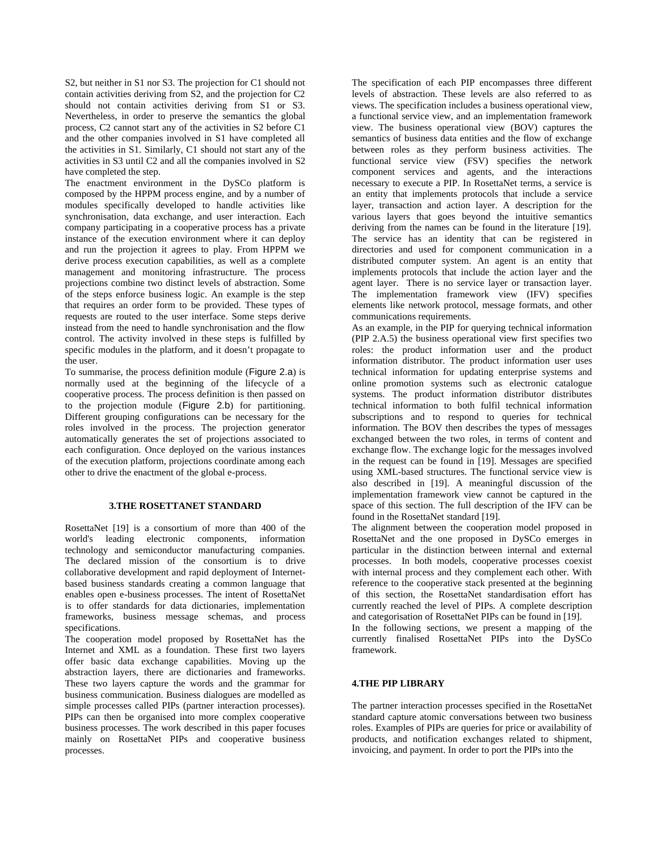S2, but neither in S1 nor S3. The projection for C1 should not contain activities deriving from S2, and the projection for C2 should not contain activities deriving from S1 or S3. Nevertheless, in order to preserve the semantics the global process, C2 cannot start any of the activities in S2 before C1 and the other companies involved in S1 have completed all the activities in S1. Similarly, C1 should not start any of the activities in S3 until C2 and all the companies involved in S2 have completed the step.

The enactment environment in the DySCo platform is composed by the HPPM process engine, and by a number of modules specifically developed to handle activities like synchronisation, data exchange, and user interaction. Each company participating in a cooperative process has a private instance of the execution environment where it can deploy and run the projection it agrees to play. From HPPM we derive process execution capabilities, as well as a complete management and monitoring infrastructure. The process projections combine two distinct levels of abstraction. Some of the steps enforce business logic. An example is the step that requires an order form to be provided. These types of requests are routed to the user interface. Some steps derive instead from the need to handle synchronisation and the flow control. The activity involved in these steps is fulfilled by specific modules in the platform, and it doesn't propagate to the user.

To summarise, the process definition module (Figure 2.a) is normally used at the beginning of the lifecycle of a cooperative process. The process definition is then passed on to the projection module (Figure 2.b) for partitioning. Different grouping configurations can be necessary for the roles involved in the process. The projection generator automatically generates the set of projections associated to each configuration. Once deployed on the various instances of the execution platform, projections coordinate among each other to drive the enactment of the global e-process.

#### **3.THE ROSETTANET STANDARD**

RosettaNet [19] is a consortium of more than 400 of the world's leading electronic components, information technology and semiconductor manufacturing companies. The declared mission of the consortium is to drive collaborative development and rapid deployment of Internetbased business standards creating a common language that enables open e-business processes. The intent of RosettaNet is to offer standards for data dictionaries, implementation frameworks, business message schemas, and process specifications.

The cooperation model proposed by RosettaNet has the Internet and XML as a foundation. These first two layers offer basic data exchange capabilities. Moving up the abstraction layers, there are dictionaries and frameworks. These two layers capture the words and the grammar for business communication. Business dialogues are modelled as simple processes called PIPs (partner interaction processes). PIPs can then be organised into more complex cooperative business processes. The work described in this paper focuses mainly on RosettaNet PIPs and cooperative business processes.

The specification of each PIP encompasses three different levels of abstraction. These levels are also referred to as views. The specification includes a business operational view, a functional service view, and an implementation framework view. The business operational view (BOV) captures the semantics of business data entities and the flow of exchange between roles as they perform business activities. The functional service view (FSV) specifies the network component services and agents, and the interactions necessary to execute a PIP. In RosettaNet terms, a service is an entity that implements protocols that include a service layer, transaction and action layer. A description for the various layers that goes beyond the intuitive semantics deriving from the names can be found in the literature [19]. The service has an identity that can be registered in directories and used for component communication in a distributed computer system. An agent is an entity that implements protocols that include the action layer and the agent layer. There is no service layer or transaction layer. The implementation framework view (IFV) specifies elements like network protocol, message formats, and other communications requirements.

As an example, in the PIP for querying technical information (PIP 2.A.5) the business operational view first specifies two roles: the product information user and the product information distributor. The product information user uses technical information for updating enterprise systems and online promotion systems such as electronic catalogue systems. The product information distributor distributes technical information to both fulfil technical information subscriptions and to respond to queries for technical information. The BOV then describes the types of messages exchanged between the two roles, in terms of content and exchange flow. The exchange logic for the messages involved in the request can be found in [19]. Messages are specified using XML-based structures. The functional service view is also described in [19]. A meaningful discussion of the implementation framework view cannot be captured in the space of this section. The full description of the IFV can be found in the RosettaNet standard [19].

The alignment between the cooperation model proposed in RosettaNet and the one proposed in DySCo emerges in particular in the distinction between internal and external processes. In both models, cooperative processes coexist with internal process and they complement each other. With reference to the cooperative stack presented at the beginning of this section, the RosettaNet standardisation effort has currently reached the level of PIPs. A complete description and categorisation of RosettaNet PIPs can be found in [19].

In the following sections, we present a mapping of the currently finalised RosettaNet PIPs into the DySCo framework.

#### **4.THE PIP LIBRARY**

The partner interaction processes specified in the RosettaNet standard capture atomic conversations between two business roles. Examples of PIPs are queries for price or availability of products, and notification exchanges related to shipment, invoicing, and payment. In order to port the PIPs into the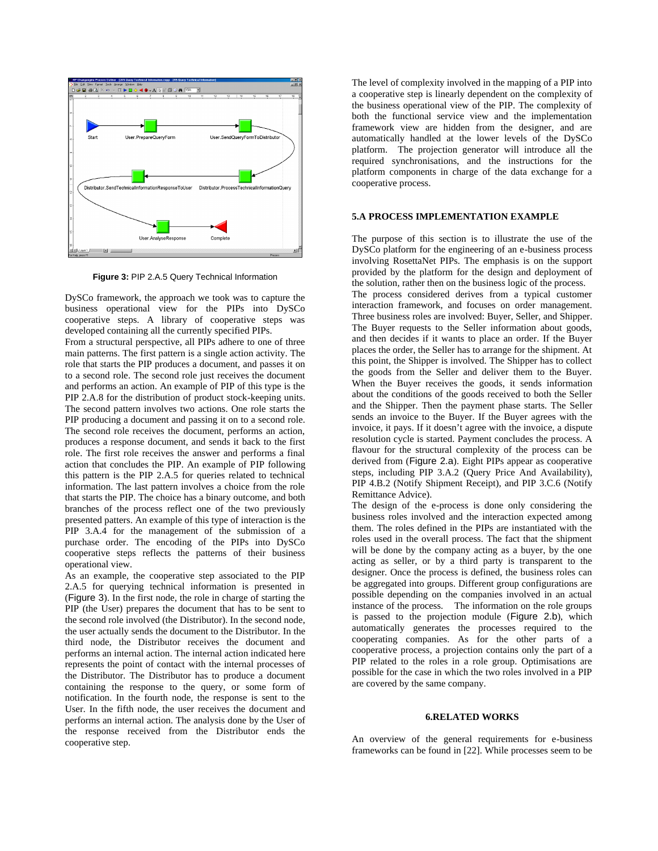

**Figure 3:** PIP 2.A.5 Query Technical Information

DySCo framework, the approach we took was to capture the business operational view for the PIPs into DySCo cooperative steps. A library of cooperative steps was developed containing all the currently specified PIPs.

From a structural perspective, all PIPs adhere to one of three main patterns. The first pattern is a single action activity. The role that starts the PIP produces a document, and passes it on to a second role. The second role just receives the document and performs an action. An example of PIP of this type is the PIP 2.A.8 for the distribution of product stock-keeping units. The second pattern involves two actions. One role starts the PIP producing a document and passing it on to a second role. The second role receives the document, performs an action, produces a response document, and sends it back to the first role. The first role receives the answer and performs a final action that concludes the PIP. An example of PIP following this pattern is the PIP 2.A.5 for queries related to technical information. The last pattern involves a choice from the role that starts the PIP. The choice has a binary outcome, and both branches of the process reflect one of the two previously presented patters. An example of this type of interaction is the PIP 3.A.4 for the management of the submission of a purchase order. The encoding of the PIPs into DySCo cooperative steps reflects the patterns of their business operational view.

As an example, the cooperative step associated to the PIP 2.A.5 for querying technical information is presented in (Figure 3). In the first node, the role in charge of starting the PIP (the User) prepares the document that has to be sent to the second role involved (the Distributor). In the second node, the user actually sends the document to the Distributor. In the third node, the Distributor receives the document and performs an internal action. The internal action indicated here represents the point of contact with the internal processes of the Distributor. The Distributor has to produce a document containing the response to the query, or some form of notification. In the fourth node, the response is sent to the User. In the fifth node, the user receives the document and performs an internal action. The analysis done by the User of the response received from the Distributor ends the cooperative step.

The level of complexity involved in the mapping of a PIP into a cooperative step is linearly dependent on the complexity of the business operational view of the PIP. The complexity of both the functional service view and the implementation framework view are hidden from the designer, and are automatically handled at the lower levels of the DySCo platform. The projection generator will introduce all the required synchronisations, and the instructions for the platform components in charge of the data exchange for a cooperative process.

# **5.A PROCESS IMPLEMENTATION EXAMPLE**

The purpose of this section is to illustrate the use of the DySCo platform for the engineering of an e-business process involving RosettaNet PIPs. The emphasis is on the support provided by the platform for the design and deployment of the solution, rather then on the business logic of the process.

The process considered derives from a typical customer interaction framework, and focuses on order management. Three business roles are involved: Buyer, Seller, and Shipper. The Buyer requests to the Seller information about goods, and then decides if it wants to place an order. If the Buyer places the order, the Seller has to arrange for the shipment. At this point, the Shipper is involved. The Shipper has to collect the goods from the Seller and deliver them to the Buyer. When the Buyer receives the goods, it sends information about the conditions of the goods received to both the Seller and the Shipper. Then the payment phase starts. The Seller sends an invoice to the Buyer. If the Buyer agrees with the invoice, it pays. If it doesn't agree with the invoice, a dispute resolution cycle is started. Payment concludes the process. A flavour for the structural complexity of the process can be derived from (Figure 2.a). Eight PIPs appear as cooperative steps, including PIP 3.A.2 (Query Price And Availability), PIP 4.B.2 (Notify Shipment Receipt), and PIP 3.C.6 (Notify Remittance Advice).

The design of the e-process is done only considering the business roles involved and the interaction expected among them. The roles defined in the PIPs are instantiated with the roles used in the overall process. The fact that the shipment will be done by the company acting as a buyer, by the one acting as seller, or by a third party is transparent to the designer. Once the process is defined, the business roles can be aggregated into groups. Different group configurations are possible depending on the companies involved in an actual instance of the process. The information on the role groups is passed to the projection module (Figure 2.b), which automatically generates the processes required to the cooperating companies. As for the other parts of a cooperative process, a projection contains only the part of a PIP related to the roles in a role group. Optimisations are possible for the case in which the two roles involved in a PIP are covered by the same company.

#### **6.RELATED WORKS**

An overview of the general requirements for e-business frameworks can be found in [22]. While processes seem to be